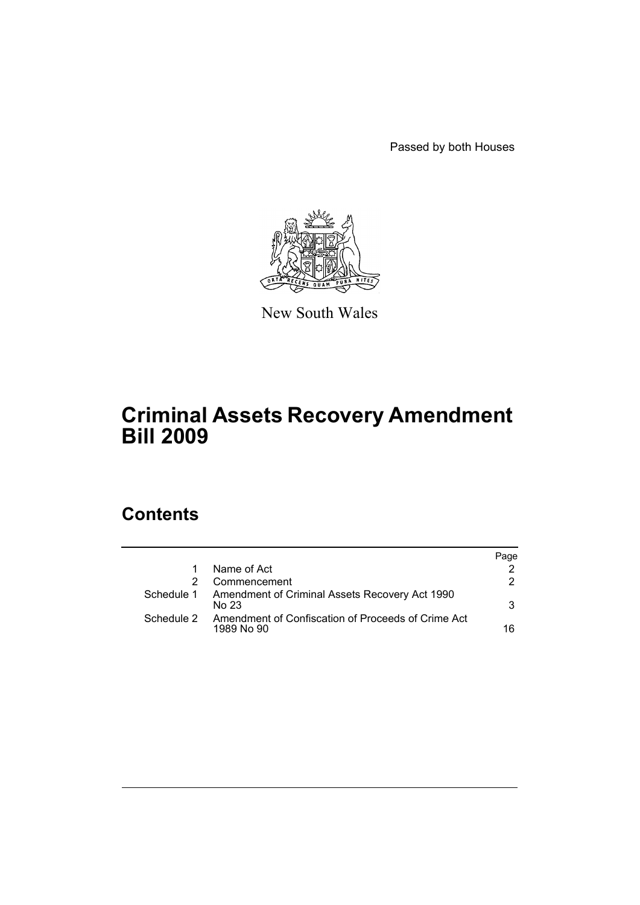Passed by both Houses



New South Wales

# **Criminal Assets Recovery Amendment Bill 2009**

# **Contents**

|            |                                                                  | Page |
|------------|------------------------------------------------------------------|------|
|            | Name of Act                                                      |      |
|            | Commencement                                                     | 2.   |
| Schedule 1 | Amendment of Criminal Assets Recovery Act 1990<br>No 23          | 3    |
| Schedule 2 | Amendment of Confiscation of Proceeds of Crime Act<br>1989 No 90 | 16   |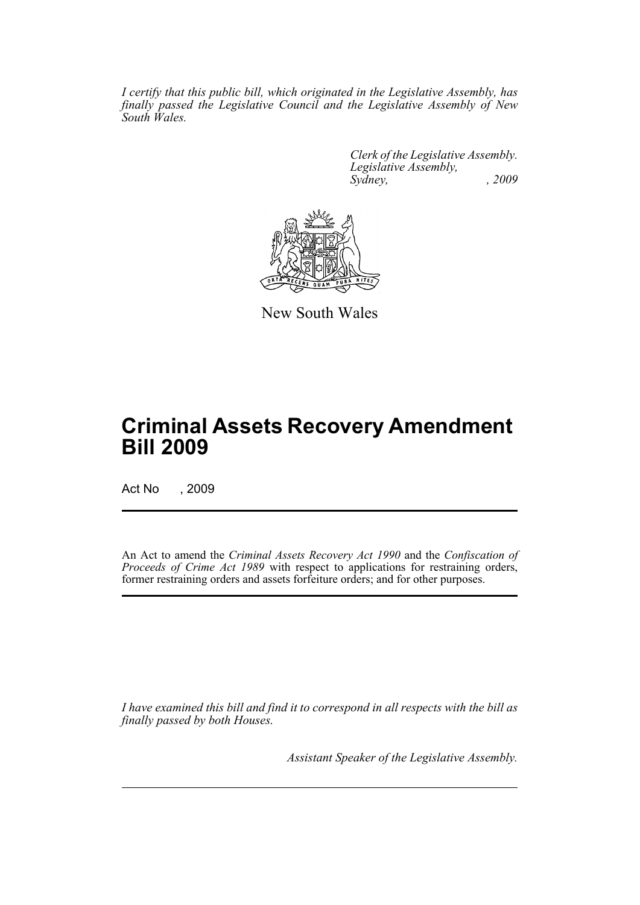*I certify that this public bill, which originated in the Legislative Assembly, has finally passed the Legislative Council and the Legislative Assembly of New South Wales.*

> *Clerk of the Legislative Assembly. Legislative Assembly, Sydney, , 2009*



New South Wales

# **Criminal Assets Recovery Amendment Bill 2009**

Act No , 2009

An Act to amend the *Criminal Assets Recovery Act 1990* and the *Confiscation of Proceeds of Crime Act 1989* with respect to applications for restraining orders, former restraining orders and assets forfeiture orders; and for other purposes.

*I have examined this bill and find it to correspond in all respects with the bill as finally passed by both Houses.*

*Assistant Speaker of the Legislative Assembly.*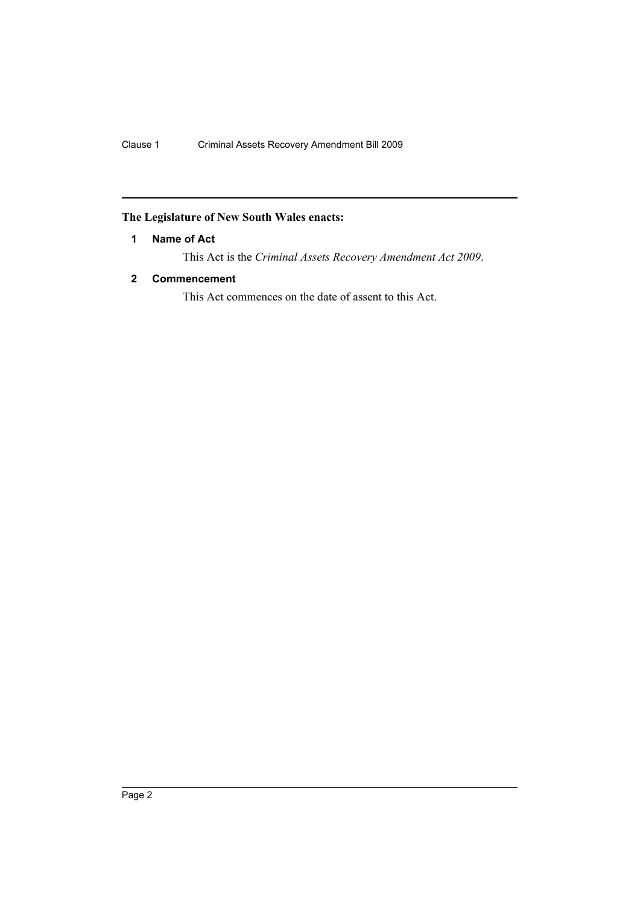## <span id="page-2-0"></span>**The Legislature of New South Wales enacts:**

## **1 Name of Act**

This Act is the *Criminal Assets Recovery Amendment Act 2009*.

## <span id="page-2-1"></span>**2 Commencement**

This Act commences on the date of assent to this Act.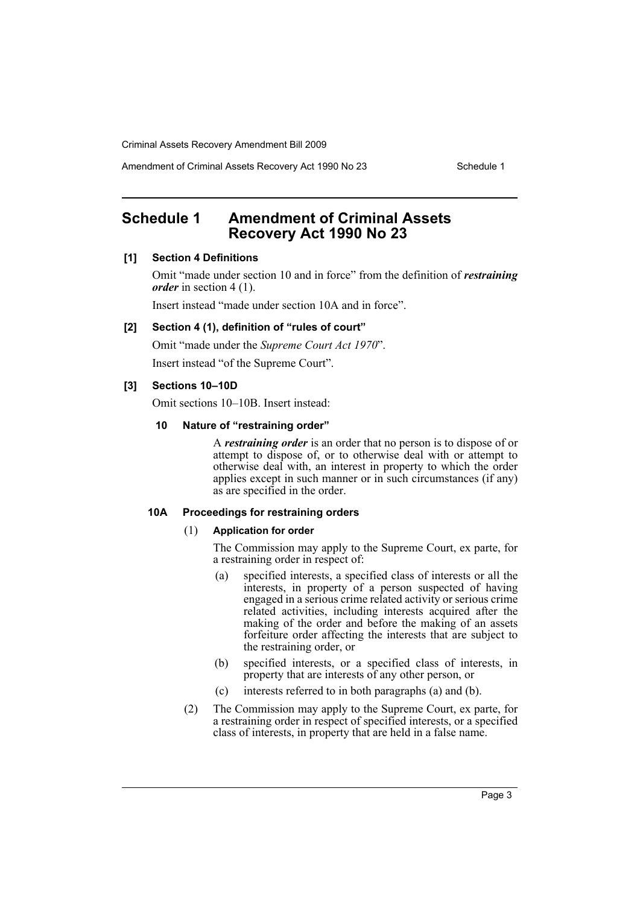Amendment of Criminal Assets Recovery Act 1990 No 23 Schedule 1

# <span id="page-3-0"></span>**Schedule 1 Amendment of Criminal Assets Recovery Act 1990 No 23**

## **[1] Section 4 Definitions**

Omit "made under section 10 and in force" from the definition of *restraining order* in section 4 (1).

Insert instead "made under section 10A and in force".

#### **[2] Section 4 (1), definition of "rules of court"**

Omit "made under the *Supreme Court Act 1970*".

Insert instead "of the Supreme Court".

## **[3] Sections 10–10D**

Omit sections 10–10B. Insert instead:

#### **10 Nature of "restraining order"**

A *restraining order* is an order that no person is to dispose of or attempt to dispose of, or to otherwise deal with or attempt to otherwise deal with, an interest in property to which the order applies except in such manner or in such circumstances (if any) as are specified in the order.

#### **10A Proceedings for restraining orders**

#### (1) **Application for order**

The Commission may apply to the Supreme Court, ex parte, for a restraining order in respect of:

- (a) specified interests, a specified class of interests or all the interests, in property of a person suspected of having engaged in a serious crime related activity or serious crime related activities, including interests acquired after the making of the order and before the making of an assets forfeiture order affecting the interests that are subject to the restraining order, or
- (b) specified interests, or a specified class of interests, in property that are interests of any other person, or
- (c) interests referred to in both paragraphs (a) and (b).
- (2) The Commission may apply to the Supreme Court, ex parte, for a restraining order in respect of specified interests, or a specified class of interests, in property that are held in a false name.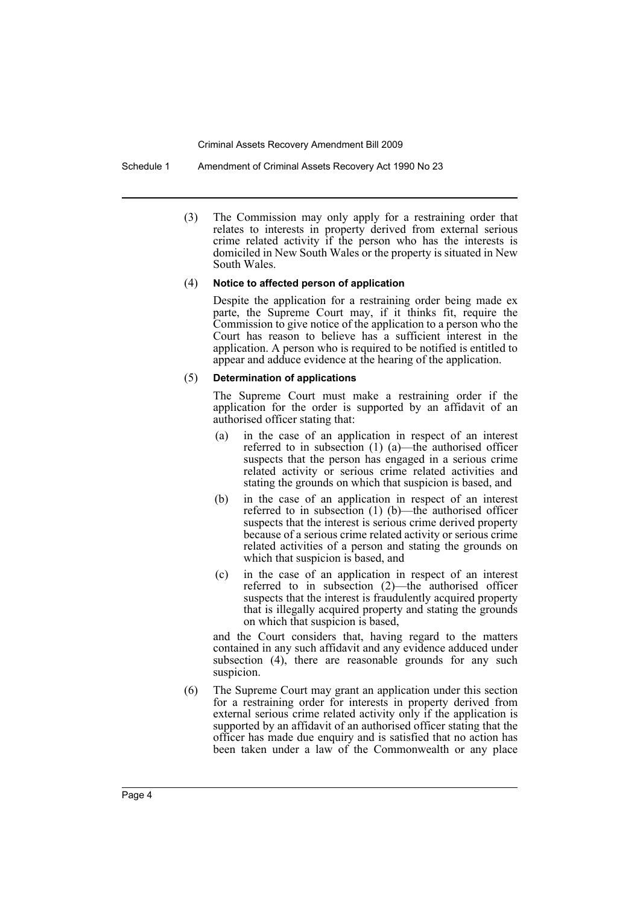Schedule 1 Amendment of Criminal Assets Recovery Act 1990 No 23

(3) The Commission may only apply for a restraining order that relates to interests in property derived from external serious crime related activity if the person who has the interests is domiciled in New South Wales or the property is situated in New South Wales.

#### (4) **Notice to affected person of application**

Despite the application for a restraining order being made ex parte, the Supreme Court may, if it thinks fit, require the Commission to give notice of the application to a person who the Court has reason to believe has a sufficient interest in the application. A person who is required to be notified is entitled to appear and adduce evidence at the hearing of the application.

#### (5) **Determination of applications**

The Supreme Court must make a restraining order if the application for the order is supported by an affidavit of an authorised officer stating that:

- (a) in the case of an application in respect of an interest referred to in subsection (1) (a)—the authorised officer suspects that the person has engaged in a serious crime related activity or serious crime related activities and stating the grounds on which that suspicion is based, and
- (b) in the case of an application in respect of an interest referred to in subsection (1) (b)—the authorised officer suspects that the interest is serious crime derived property because of a serious crime related activity or serious crime related activities of a person and stating the grounds on which that suspicion is based, and
- (c) in the case of an application in respect of an interest referred to in subsection  $(2)$ —the authorised officer suspects that the interest is fraudulently acquired property that is illegally acquired property and stating the grounds on which that suspicion is based,

and the Court considers that, having regard to the matters contained in any such affidavit and any evidence adduced under subsection (4), there are reasonable grounds for any such suspicion.

(6) The Supreme Court may grant an application under this section for a restraining order for interests in property derived from external serious crime related activity only if the application is supported by an affidavit of an authorised officer stating that the officer has made due enquiry and is satisfied that no action has been taken under a law of the Commonwealth or any place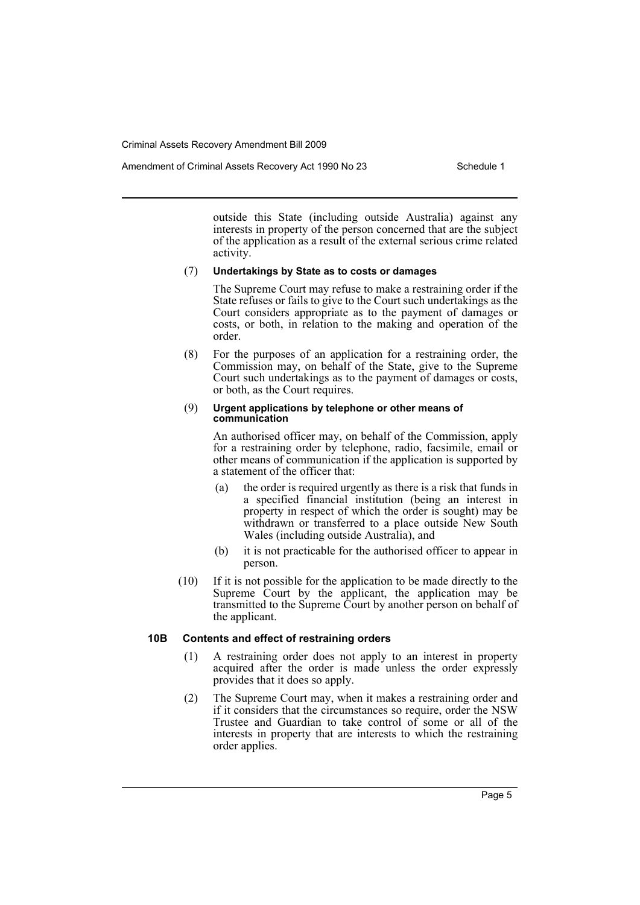Amendment of Criminal Assets Recovery Act 1990 No 23 Schedule 1

outside this State (including outside Australia) against any interests in property of the person concerned that are the subject of the application as a result of the external serious crime related activity.

## (7) **Undertakings by State as to costs or damages**

The Supreme Court may refuse to make a restraining order if the State refuses or fails to give to the Court such undertakings as the Court considers appropriate as to the payment of damages or costs, or both, in relation to the making and operation of the order.

(8) For the purposes of an application for a restraining order, the Commission may, on behalf of the State, give to the Supreme Court such undertakings as to the payment of damages or costs, or both, as the Court requires.

#### (9) **Urgent applications by telephone or other means of communication**

An authorised officer may, on behalf of the Commission, apply for a restraining order by telephone, radio, facsimile, email or other means of communication if the application is supported by a statement of the officer that:

- (a) the order is required urgently as there is a risk that funds in a specified financial institution (being an interest in property in respect of which the order is sought) may be withdrawn or transferred to a place outside New South Wales (including outside Australia), and
- (b) it is not practicable for the authorised officer to appear in person.
- (10) If it is not possible for the application to be made directly to the Supreme Court by the applicant, the application may be transmitted to the Supreme Court by another person on behalf of the applicant.

## **10B Contents and effect of restraining orders**

- (1) A restraining order does not apply to an interest in property acquired after the order is made unless the order expressly provides that it does so apply.
- (2) The Supreme Court may, when it makes a restraining order and if it considers that the circumstances so require, order the NSW Trustee and Guardian to take control of some or all of the interests in property that are interests to which the restraining order applies.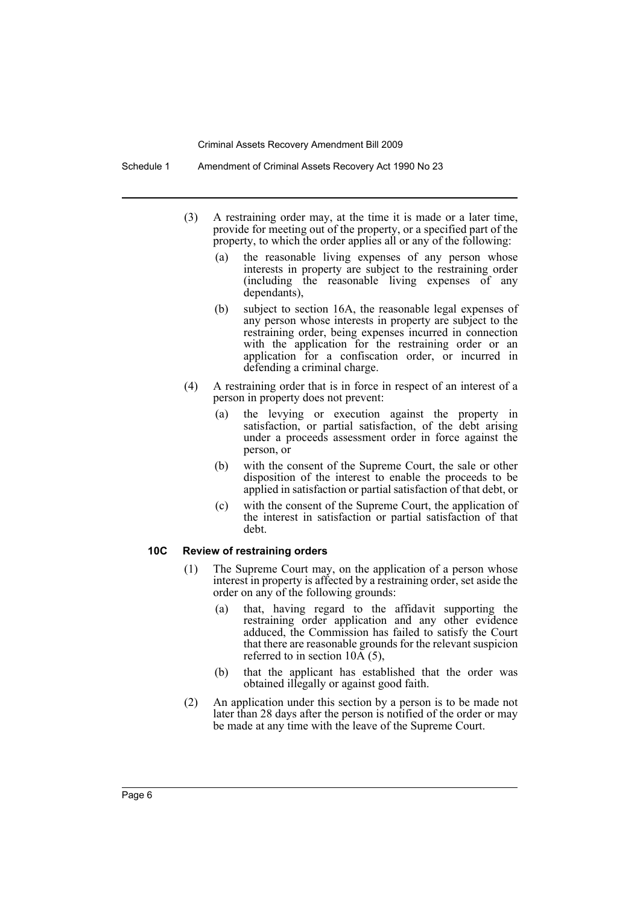Schedule 1 Amendment of Criminal Assets Recovery Act 1990 No 23

- (3) A restraining order may, at the time it is made or a later time, provide for meeting out of the property, or a specified part of the property, to which the order applies all or any of the following:
	- (a) the reasonable living expenses of any person whose interests in property are subject to the restraining order (including the reasonable living expenses of any dependants),
	- (b) subject to section 16A, the reasonable legal expenses of any person whose interests in property are subject to the restraining order, being expenses incurred in connection with the application for the restraining order or an application for a confiscation order, or incurred in defending a criminal charge.
- (4) A restraining order that is in force in respect of an interest of a person in property does not prevent:
	- (a) the levying or execution against the property in satisfaction, or partial satisfaction, of the debt arising under a proceeds assessment order in force against the person, or
	- (b) with the consent of the Supreme Court, the sale or other disposition of the interest to enable the proceeds to be applied in satisfaction or partial satisfaction of that debt, or
	- (c) with the consent of the Supreme Court, the application of the interest in satisfaction or partial satisfaction of that debt.

## **10C Review of restraining orders**

- (1) The Supreme Court may, on the application of a person whose interest in property is affected by a restraining order, set aside the order on any of the following grounds:
	- (a) that, having regard to the affidavit supporting the restraining order application and any other evidence adduced, the Commission has failed to satisfy the Court that there are reasonable grounds for the relevant suspicion referred to in section  $10\overline{A}(5)$ ,
	- (b) that the applicant has established that the order was obtained illegally or against good faith.
- (2) An application under this section by a person is to be made not later than 28 days after the person is notified of the order or may be made at any time with the leave of the Supreme Court.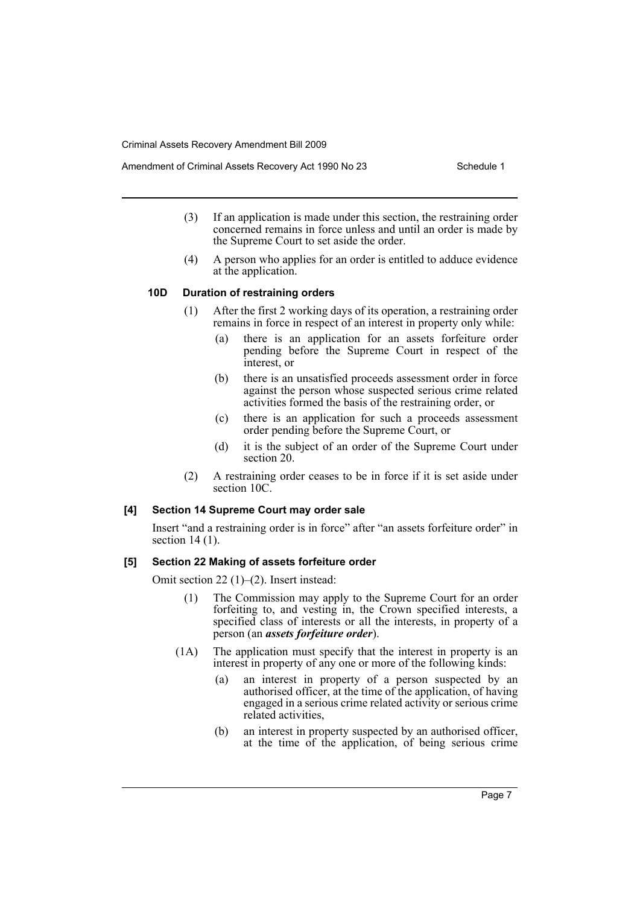- (3) If an application is made under this section, the restraining order concerned remains in force unless and until an order is made by the Supreme Court to set aside the order.
- (4) A person who applies for an order is entitled to adduce evidence at the application.

### **10D Duration of restraining orders**

- (1) After the first 2 working days of its operation, a restraining order remains in force in respect of an interest in property only while:
	- (a) there is an application for an assets forfeiture order pending before the Supreme Court in respect of the interest, or
	- (b) there is an unsatisfied proceeds assessment order in force against the person whose suspected serious crime related activities formed the basis of the restraining order, or
	- (c) there is an application for such a proceeds assessment order pending before the Supreme Court, or
	- (d) it is the subject of an order of the Supreme Court under section 20.
- (2) A restraining order ceases to be in force if it is set aside under section 10C.

## **[4] Section 14 Supreme Court may order sale**

Insert "and a restraining order is in force" after "an assets forfeiture order" in section 14 (1).

## **[5] Section 22 Making of assets forfeiture order**

Omit section 22 (1)–(2). Insert instead:

- (1) The Commission may apply to the Supreme Court for an order forfeiting to, and vesting in, the Crown specified interests, a specified class of interests or all the interests, in property of a person (an *assets forfeiture order*).
- (1A) The application must specify that the interest in property is an interest in property of any one or more of the following kinds:
	- (a) an interest in property of a person suspected by an authorised officer, at the time of the application, of having engaged in a serious crime related activity or serious crime related activities,
	- (b) an interest in property suspected by an authorised officer, at the time of the application, of being serious crime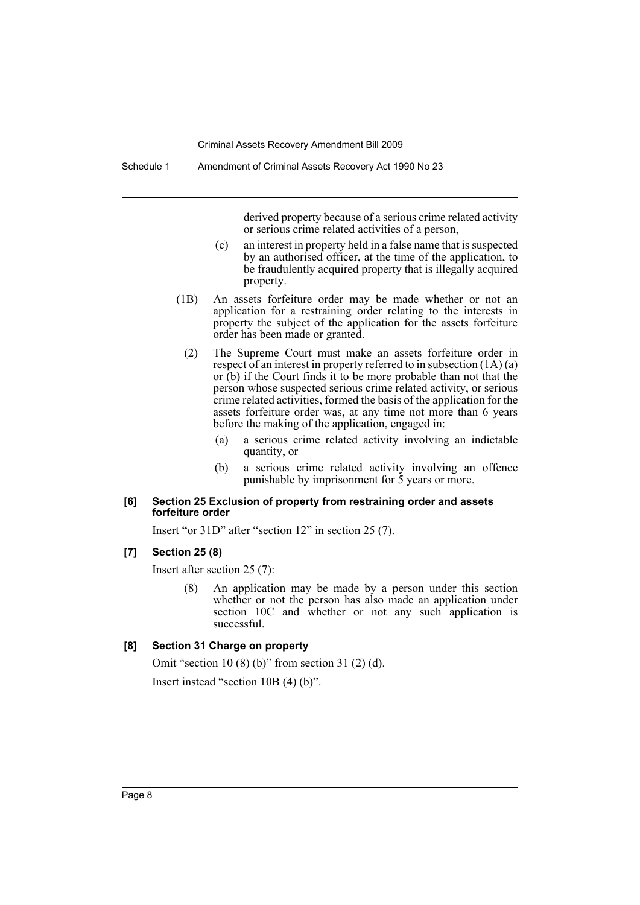derived property because of a serious crime related activity or serious crime related activities of a person,

- (c) an interest in property held in a false name that is suspected by an authorised officer, at the time of the application, to be fraudulently acquired property that is illegally acquired property.
- (1B) An assets forfeiture order may be made whether or not an application for a restraining order relating to the interests in property the subject of the application for the assets forfeiture order has been made or granted.
	- (2) The Supreme Court must make an assets forfeiture order in respect of an interest in property referred to in subsection (1A) (a) or (b) if the Court finds it to be more probable than not that the person whose suspected serious crime related activity, or serious crime related activities, formed the basis of the application for the assets forfeiture order was, at any time not more than 6 years before the making of the application, engaged in:
		- (a) a serious crime related activity involving an indictable quantity, or
		- (b) a serious crime related activity involving an offence punishable by imprisonment for 5 years or more.

#### **[6] Section 25 Exclusion of property from restraining order and assets forfeiture order**

Insert "or 31D" after "section 12" in section 25 (7).

#### **[7] Section 25 (8)**

Insert after section 25 (7):

(8) An application may be made by a person under this section whether or not the person has also made an application under section 10C and whether or not any such application is successful.

## **[8] Section 31 Charge on property**

Omit "section 10 (8) (b)" from section 31 (2) (d).

Insert instead "section 10B (4) (b)".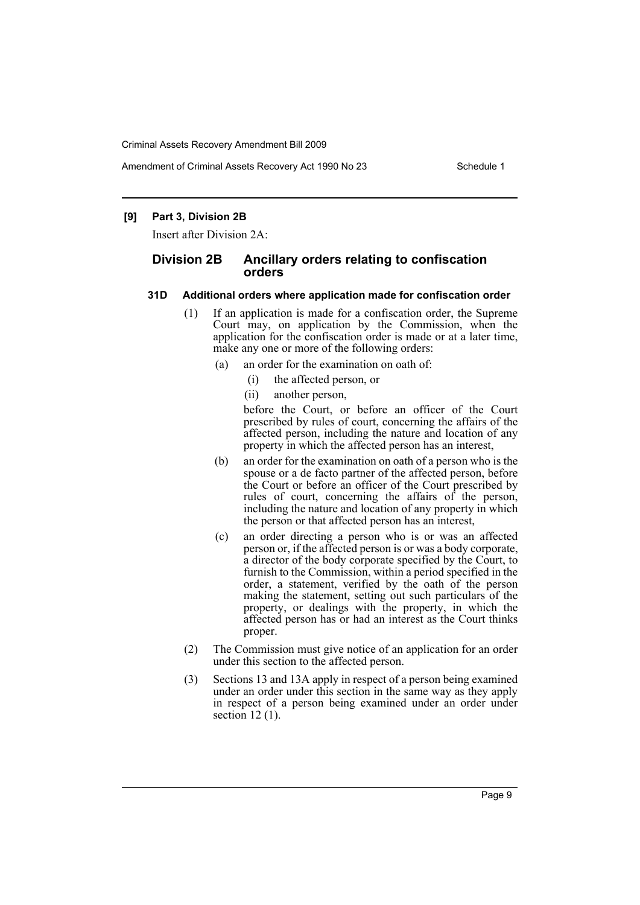Amendment of Criminal Assets Recovery Act 1990 No 23 Schedule 1

## **[9] Part 3, Division 2B**

Insert after Division 2A:

## **Division 2B Ancillary orders relating to confiscation orders**

### **31D Additional orders where application made for confiscation order**

- (1) If an application is made for a confiscation order, the Supreme Court may, on application by the Commission, when the application for the confiscation order is made or at a later time, make any one or more of the following orders:
	- (a) an order for the examination on oath of:
		- (i) the affected person, or
		- (ii) another person,

before the Court, or before an officer of the Court prescribed by rules of court, concerning the affairs of the affected person, including the nature and location of any property in which the affected person has an interest,

- (b) an order for the examination on oath of a person who is the spouse or a de facto partner of the affected person, before the Court or before an officer of the Court prescribed by rules of court, concerning the affairs of the person, including the nature and location of any property in which the person or that affected person has an interest,
- (c) an order directing a person who is or was an affected person or, if the affected person is or was a body corporate, a director of the body corporate specified by the Court, to furnish to the Commission, within a period specified in the order, a statement, verified by the oath of the person making the statement, setting out such particulars of the property, or dealings with the property, in which the affected person has or had an interest as the Court thinks proper.
- (2) The Commission must give notice of an application for an order under this section to the affected person.
- (3) Sections 13 and 13A apply in respect of a person being examined under an order under this section in the same way as they apply in respect of a person being examined under an order under section  $12(1)$ .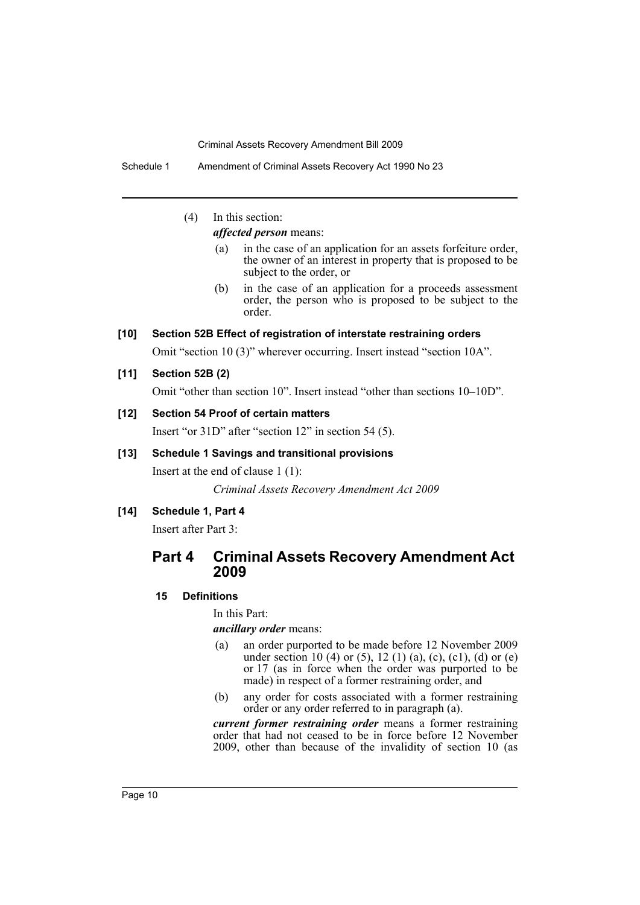Schedule 1 Amendment of Criminal Assets Recovery Act 1990 No 23

# (4) In this section:

*affected person* means:

- (a) in the case of an application for an assets forfeiture order, the owner of an interest in property that is proposed to be subject to the order, or
- (b) in the case of an application for a proceeds assessment order, the person who is proposed to be subject to the order.

## **[10] Section 52B Effect of registration of interstate restraining orders**

Omit "section 10 (3)" wherever occurring. Insert instead "section 10A".

**[11] Section 52B (2)**

Omit "other than section 10". Insert instead "other than sections 10–10D".

## **[12] Section 54 Proof of certain matters**

Insert "or 31D" after "section 12" in section 54 (5).

## **[13] Schedule 1 Savings and transitional provisions**

Insert at the end of clause 1 (1):

*Criminal Assets Recovery Amendment Act 2009*

## **[14] Schedule 1, Part 4**

Insert after Part 3:

# **Part 4 Criminal Assets Recovery Amendment Act 2009**

## **15 Definitions**

In this Part:

*ancillary order* means:

- (a) an order purported to be made before 12 November 2009 under section 10 (4) or (5), 12 (1) (a), (c), (c1), (d) or (e) or 17 (as in force when the order was purported to be made) in respect of a former restraining order, and
- (b) any order for costs associated with a former restraining order or any order referred to in paragraph (a).

*current former restraining order* means a former restraining order that had not ceased to be in force before 12 November 2009, other than because of the invalidity of section 10 (as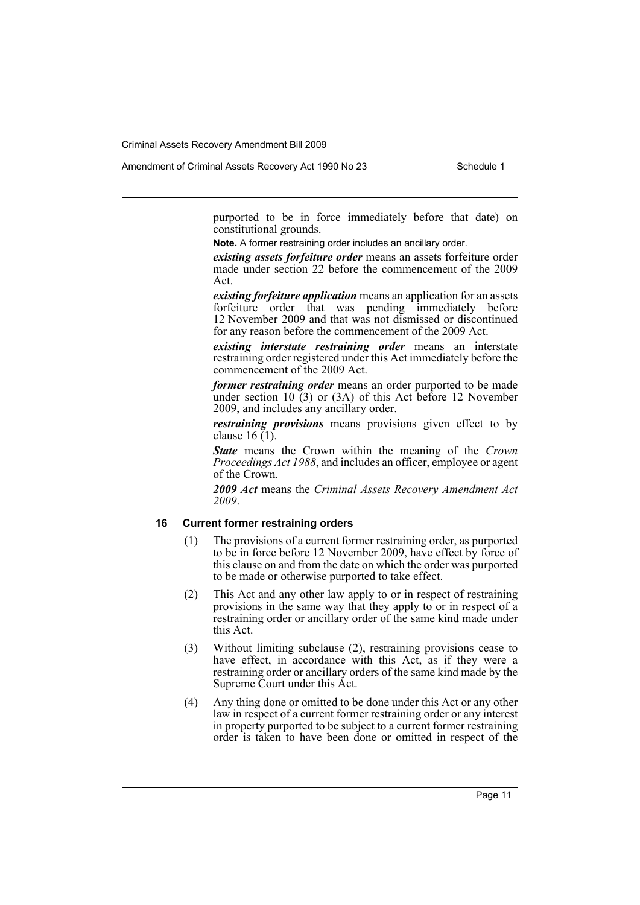Amendment of Criminal Assets Recovery Act 1990 No 23 Schedule 1

purported to be in force immediately before that date) on constitutional grounds.

**Note.** A former restraining order includes an ancillary order.

*existing assets forfeiture order* means an assets forfeiture order made under section 22 before the commencement of the 2009 Act.

*existing forfeiture application* means an application for an assets forfeiture order that was pending immediately before 12 November 2009 and that was not dismissed or discontinued for any reason before the commencement of the 2009 Act.

*existing interstate restraining order* means an interstate restraining order registered under this Act immediately before the commencement of the 2009 Act.

*former restraining order* means an order purported to be made under section 10 (3) or (3A) of this Act before 12 November 2009, and includes any ancillary order.

*restraining provisions* means provisions given effect to by clause  $16(1)$ .

*State* means the Crown within the meaning of the *Crown Proceedings Act 1988*, and includes an officer, employee or agent of the Crown.

*2009 Act* means the *Criminal Assets Recovery Amendment Act 2009*.

## **16 Current former restraining orders**

- (1) The provisions of a current former restraining order, as purported to be in force before 12 November 2009, have effect by force of this clause on and from the date on which the order was purported to be made or otherwise purported to take effect.
- (2) This Act and any other law apply to or in respect of restraining provisions in the same way that they apply to or in respect of a restraining order or ancillary order of the same kind made under this Act.
- (3) Without limiting subclause (2), restraining provisions cease to have effect, in accordance with this Act, as if they were a restraining order or ancillary orders of the same kind made by the Supreme Court under this Act.
- (4) Any thing done or omitted to be done under this Act or any other law in respect of a current former restraining order or any interest in property purported to be subject to a current former restraining order is taken to have been done or omitted in respect of the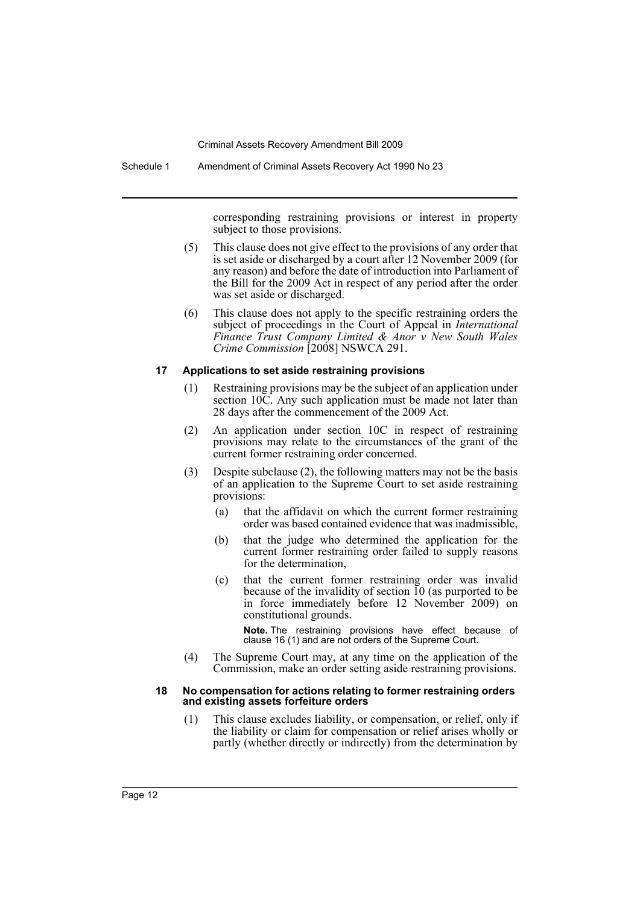Schedule 1 Amendment of Criminal Assets Recovery Act 1990 No 23

corresponding restraining provisions or interest in property subject to those provisions.

- (5) This clause does not give effect to the provisions of any order that is set aside or discharged by a court after 12 November 2009 (for any reason) and before the date of introduction into Parliament of the Bill for the 2009 Act in respect of any period after the order was set aside or discharged.
- (6) This clause does not apply to the specific restraining orders the subject of proceedings in the Court of Appeal in *International Finance Trust Company Limited & Anor v New South Wales Crime Commission* [2008] NSWCA 291.

#### **17 Applications to set aside restraining provisions**

- (1) Restraining provisions may be the subject of an application under section 10C. Any such application must be made not later than 28 days after the commencement of the 2009 Act.
- (2) An application under section 10C in respect of restraining provisions may relate to the circumstances of the grant of the current former restraining order concerned.
- (3) Despite subclause (2), the following matters may not be the basis of an application to the Supreme Court to set aside restraining provisions:
	- (a) that the affidavit on which the current former restraining order was based contained evidence that was inadmissible,
	- (b) that the judge who determined the application for the current former restraining order failed to supply reasons for the determination,
	- (c) that the current former restraining order was invalid because of the invalidity of section  $10$  (as purported to be in force immediately before 12 November 2009) on constitutional grounds.

**Note.** The restraining provisions have effect because of clause 16 (1) and are not orders of the Supreme Court.

(4) The Supreme Court may, at any time on the application of the Commission, make an order setting aside restraining provisions.

#### **18 No compensation for actions relating to former restraining orders and existing assets forfeiture orders**

(1) This clause excludes liability, or compensation, or relief, only if the liability or claim for compensation or relief arises wholly or partly (whether directly or indirectly) from the determination by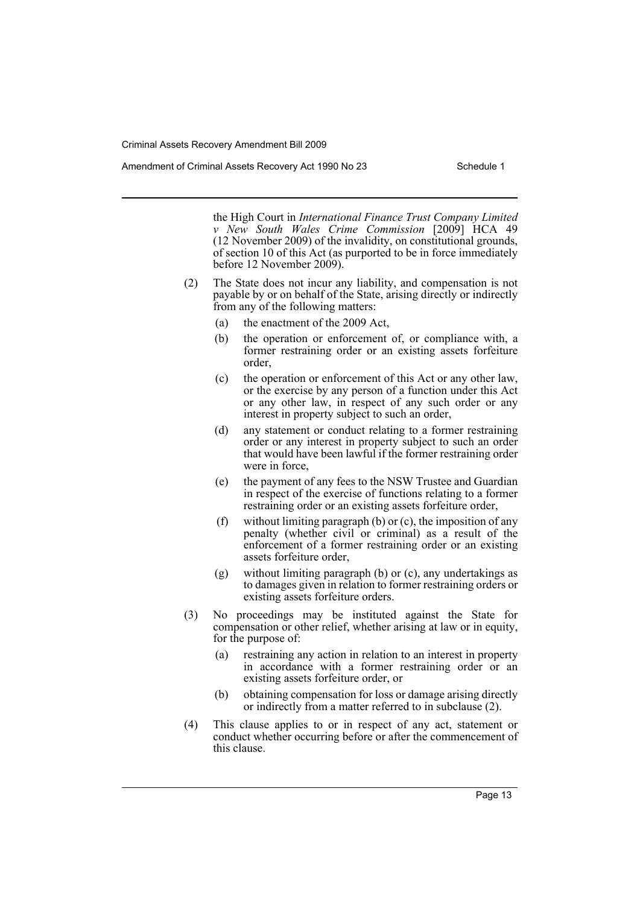the High Court in *International Finance Trust Company Limited v New South Wales Crime Commission* [2009] HCA 49 (12 November 2009) of the invalidity, on constitutional grounds, of section 10 of this Act (as purported to be in force immediately before 12 November 2009).

- (2) The State does not incur any liability, and compensation is not payable by or on behalf of the State, arising directly or indirectly from any of the following matters:
	- (a) the enactment of the 2009 Act,
	- (b) the operation or enforcement of, or compliance with, a former restraining order or an existing assets forfeiture order,
	- (c) the operation or enforcement of this Act or any other law, or the exercise by any person of a function under this Act or any other law, in respect of any such order or any interest in property subject to such an order,
	- (d) any statement or conduct relating to a former restraining order or any interest in property subject to such an order that would have been lawful if the former restraining order were in force,
	- (e) the payment of any fees to the NSW Trustee and Guardian in respect of the exercise of functions relating to a former restraining order or an existing assets forfeiture order,
	- (f) without limiting paragraph (b) or  $(c)$ , the imposition of any penalty (whether civil or criminal) as a result of the enforcement of a former restraining order or an existing assets forfeiture order,
	- (g) without limiting paragraph (b) or (c), any undertakings as to damages given in relation to former restraining orders or existing assets forfeiture orders.
- (3) No proceedings may be instituted against the State for compensation or other relief, whether arising at law or in equity, for the purpose of:
	- (a) restraining any action in relation to an interest in property in accordance with a former restraining order or an existing assets forfeiture order, or
	- (b) obtaining compensation for loss or damage arising directly or indirectly from a matter referred to in subclause (2).
- (4) This clause applies to or in respect of any act, statement or conduct whether occurring before or after the commencement of this clause.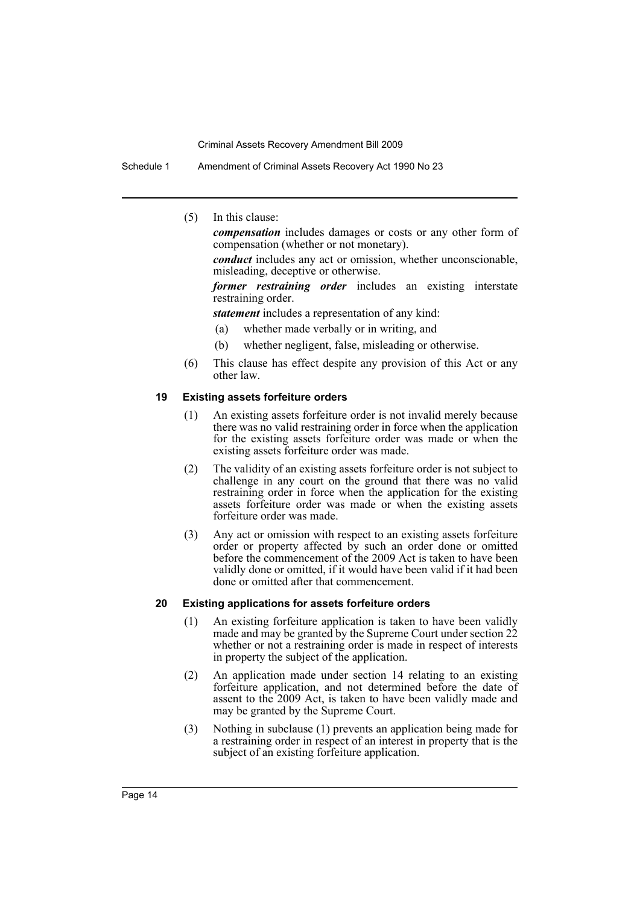Schedule 1 Amendment of Criminal Assets Recovery Act 1990 No 23

(5) In this clause:

*compensation* includes damages or costs or any other form of compensation (whether or not monetary).

*conduct* includes any act or omission, whether unconscionable, misleading, deceptive or otherwise.

*former restraining order* includes an existing interstate restraining order.

*statement* includes a representation of any kind:

- (a) whether made verbally or in writing, and
- (b) whether negligent, false, misleading or otherwise.
- (6) This clause has effect despite any provision of this Act or any other law.

## **19 Existing assets forfeiture orders**

- (1) An existing assets forfeiture order is not invalid merely because there was no valid restraining order in force when the application for the existing assets forfeiture order was made or when the existing assets forfeiture order was made.
- (2) The validity of an existing assets forfeiture order is not subject to challenge in any court on the ground that there was no valid restraining order in force when the application for the existing assets forfeiture order was made or when the existing assets forfeiture order was made.
- (3) Any act or omission with respect to an existing assets forfeiture order or property affected by such an order done or omitted before the commencement of the 2009 Act is taken to have been validly done or omitted, if it would have been valid if it had been done or omitted after that commencement.

### **20 Existing applications for assets forfeiture orders**

- (1) An existing forfeiture application is taken to have been validly made and may be granted by the Supreme Court under section 22 whether or not a restraining order is made in respect of interests in property the subject of the application.
- (2) An application made under section 14 relating to an existing forfeiture application, and not determined before the date of assent to the 2009 Act, is taken to have been validly made and may be granted by the Supreme Court.
- (3) Nothing in subclause (1) prevents an application being made for a restraining order in respect of an interest in property that is the subject of an existing forfeiture application.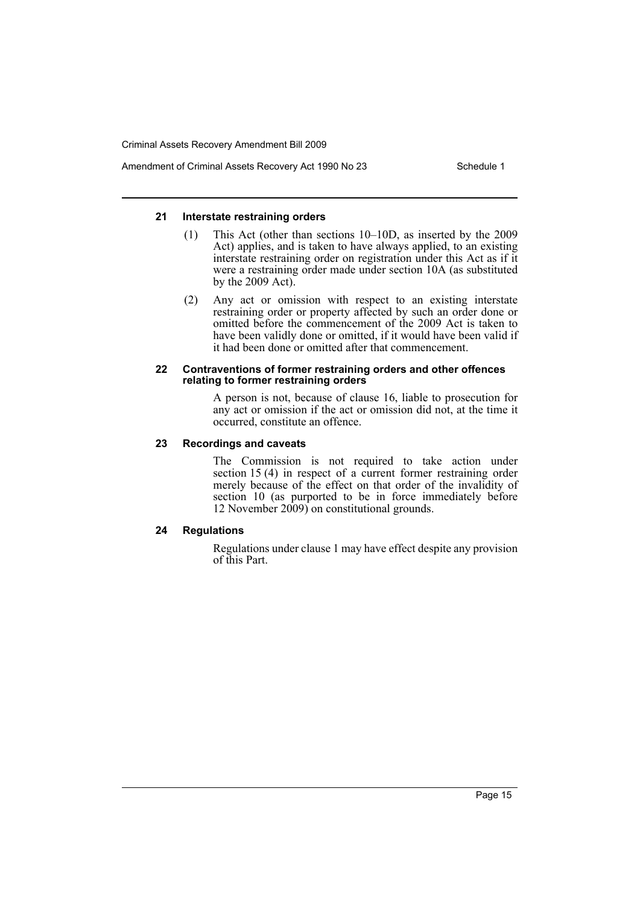Amendment of Criminal Assets Recovery Act 1990 No 23 Schedule 1

### **21 Interstate restraining orders**

- (1) This Act (other than sections 10–10D, as inserted by the 2009 Act) applies, and is taken to have always applied, to an existing interstate restraining order on registration under this Act as if it were a restraining order made under section 10A (as substituted by the 2009 Act).
- (2) Any act or omission with respect to an existing interstate restraining order or property affected by such an order done or omitted before the commencement of the 2009 Act is taken to have been validly done or omitted, if it would have been valid if it had been done or omitted after that commencement.

### **22 Contraventions of former restraining orders and other offences relating to former restraining orders**

A person is not, because of clause 16, liable to prosecution for any act or omission if the act or omission did not, at the time it occurred, constitute an offence.

## **23 Recordings and caveats**

The Commission is not required to take action under section 15 (4) in respect of a current former restraining order merely because of the effect on that order of the invalidity of section 10 (as purported to be in force immediately before 12 November 2009) on constitutional grounds.

## **24 Regulations**

Regulations under clause 1 may have effect despite any provision of this Part.